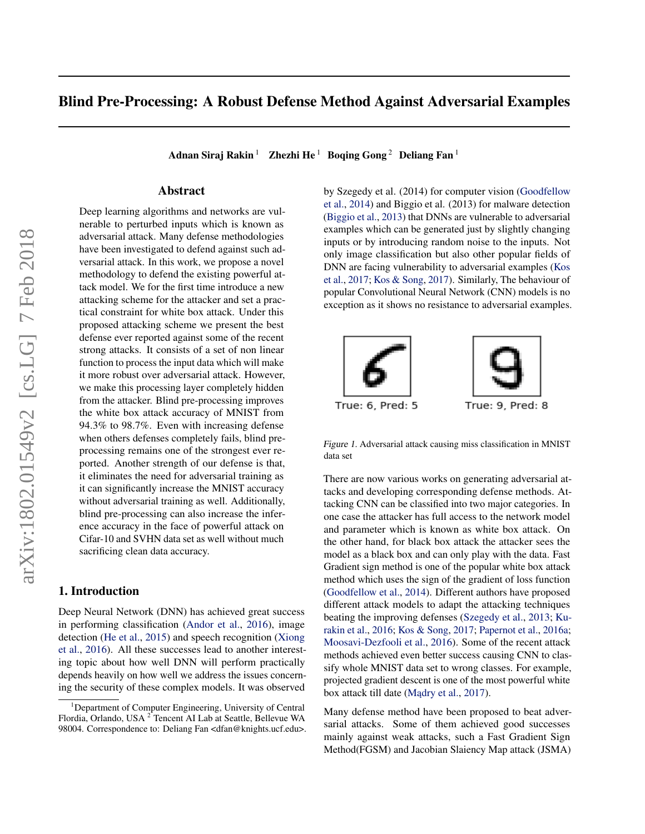# Blind Pre-Processing: A Robust Defense Method Against Adversarial Examples

Adnan Siraj Rakin<sup>1</sup> Zhezhi He<sup>1</sup> Boqing Gong<sup>2</sup> Deliang Fan<sup>1</sup>

## Abstract

Deep learning algorithms and networks are vulnerable to perturbed inputs which is known as adversarial attack. Many defense methodologies have been investigated to defend against such adversarial attack. In this work, we propose a novel methodology to defend the existing powerful attack model. We for the first time introduce a new attacking scheme for the attacker and set a practical constraint for white box attack. Under this proposed attacking scheme we present the best defense ever reported against some of the recent strong attacks. It consists of a set of non linear function to process the input data which will make it more robust over adversarial attack. However, we make this processing layer completely hidden from the attacker. Blind pre-processing improves the white box attack accuracy of MNIST from 94.3% to 98.7%. Even with increasing defense when others defenses completely fails, blind preprocessing remains one of the strongest ever reported. Another strength of our defense is that, it eliminates the need for adversarial training as it can significantly increase the MNIST accuracy without adversarial training as well. Additionally, blind pre-processing can also increase the inference accuracy in the face of powerful attack on Cifar-10 and SVHN data set as well without much sacrificing clean data accuracy.

# 1. Introduction

Deep Neural Network (DNN) has achieved great success in performing classification [\(Andor et al.,](#page-8-0) [2016\)](#page-8-0), image detection [\(He et al.,](#page-8-0) [2015\)](#page-8-0) and speech recognition [\(Xiong](#page-9-0) [et al.,](#page-9-0) [2016\)](#page-9-0). All these successes lead to another interesting topic about how well DNN will perform practically depends heavily on how well we address the issues concerning the security of these complex models. It was observed

by Szegedy et al. (2014) for computer vision [\(Goodfellow](#page-8-0) [et al.,](#page-8-0) [2014\)](#page-8-0) and Biggio et al. (2013) for malware detection [\(Biggio et al.,](#page-8-0) [2013\)](#page-8-0) that DNNs are vulnerable to adversarial examples which can be generated just by slightly changing inputs or by introducing random noise to the inputs. Not only image classification but also other popular fields of DNN are facing vulnerability to adversarial examples [\(Kos](#page-9-0) [et al.,](#page-9-0) [2017;](#page-9-0) [Kos & Song,](#page-9-0) [2017\)](#page-9-0). Similarly, The behaviour of popular Convolutional Neural Network (CNN) models is no exception as it shows no resistance to adversarial examples.



Figure 1. Adversarial attack causing miss classification in MNIST data set

There are now various works on generating adversarial attacks and developing corresponding defense methods. Attacking CNN can be classified into two major categories. In one case the attacker has full access to the network model and parameter which is known as white box attack. On the other hand, for black box attack the attacker sees the model as a black box and can only play with the data. Fast Gradient sign method is one of the popular white box attack method which uses the sign of the gradient of loss function [\(Goodfellow et al.,](#page-8-0) [2014\)](#page-8-0). Different authors have proposed different attack models to adapt the attacking techniques beating the improving defenses [\(Szegedy et al.,](#page-9-0) [2013;](#page-9-0) [Ku](#page-9-0)[rakin et al.,](#page-9-0) [2016;](#page-9-0) [Kos & Song,](#page-9-0) [2017;](#page-9-0) [Papernot et al.,](#page-9-0) [2016a;](#page-9-0) [Moosavi-Dezfooli et al.,](#page-9-0) [2016\)](#page-9-0). Some of the recent attack methods achieved even better success causing CNN to classify whole MNIST data set to wrong classes. For example, projected gradient descent is one of the most powerful white box attack till date (Mądry et al., [2017\)](#page-9-0).

Many defense method have been proposed to beat adversarial attacks. Some of them achieved good successes mainly against weak attacks, such a Fast Gradient Sign Method(FGSM) and Jacobian Slaiency Map attack (JSMA)

<sup>&</sup>lt;sup>1</sup>Department of Computer Engineering, University of Central Flordia, Orlando, USA<sup>2</sup> Tencent AI Lab at Seattle, Bellevue WA 98004. Correspondence to: Deliang Fan <dfan@knights.ucf.edu>.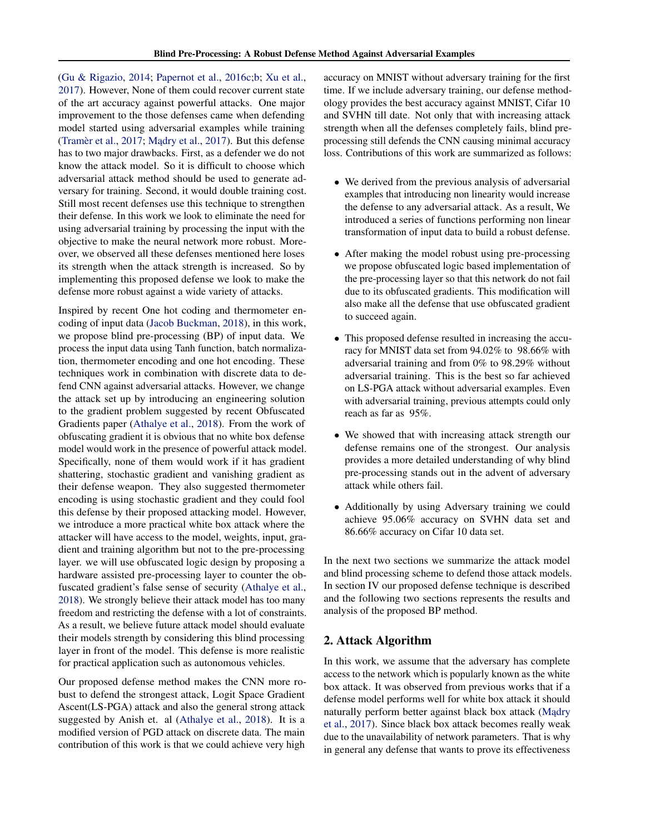[\(Gu & Rigazio,](#page-8-0) [2014;](#page-8-0) [Papernot et al.,](#page-9-0) [2016c;b;](#page-9-0) [Xu et al.,](#page-9-0) [2017\)](#page-9-0). However, None of them could recover current state of the art accuracy against powerful attacks. One major improvement to the those defenses came when defending model started using adversarial examples while training [\(Tramèr et al.,](#page-9-0)  $2017$ ; Madry et al.,  $2017$ ). But this defense has to two major drawbacks. First, as a defender we do not know the attack model. So it is difficult to choose which adversarial attack method should be used to generate adversary for training. Second, it would double training cost. Still most recent defenses use this technique to strengthen their defense. In this work we look to eliminate the need for using adversarial training by processing the input with the objective to make the neural network more robust. Moreover, we observed all these defenses mentioned here loses its strength when the attack strength is increased. So by implementing this proposed defense we look to make the defense more robust against a wide variety of attacks.

Inspired by recent One hot coding and thermometer encoding of input data [\(Jacob Buckman,](#page-9-0) [2018\)](#page-9-0), in this work, we propose blind pre-processing (BP) of input data. We process the input data using Tanh function, batch normalization, thermometer encoding and one hot encoding. These techniques work in combination with discrete data to defend CNN against adversarial attacks. However, we change the attack set up by introducing an engineering solution to the gradient problem suggested by recent Obfuscated Gradients paper [\(Athalye et al.,](#page-8-0) [2018\)](#page-8-0). From the work of obfuscating gradient it is obvious that no white box defense model would work in the presence of powerful attack model. Specifically, none of them would work if it has gradient shattering, stochastic gradient and vanishing gradient as their defense weapon. They also suggested thermometer encoding is using stochastic gradient and they could fool this defense by their proposed attacking model. However, we introduce a more practical white box attack where the attacker will have access to the model, weights, input, gradient and training algorithm but not to the pre-processing layer. we will use obfuscated logic design by proposing a hardware assisted pre-processing layer to counter the obfuscated gradient's false sense of security [\(Athalye et al.,](#page-8-0) [2018\)](#page-8-0). We strongly believe their attack model has too many freedom and restricting the defense with a lot of constraints. As a result, we believe future attack model should evaluate their models strength by considering this blind processing layer in front of the model. This defense is more realistic for practical application such as autonomous vehicles.

Our proposed defense method makes the CNN more robust to defend the strongest attack, Logit Space Gradient Ascent(LS-PGA) attack and also the general strong attack suggested by Anish et. al [\(Athalye et al.,](#page-8-0) [2018\)](#page-8-0). It is a modified version of PGD attack on discrete data. The main contribution of this work is that we could achieve very high

accuracy on MNIST without adversary training for the first time. If we include adversary training, our defense methodology provides the best accuracy against MNIST, Cifar 10 and SVHN till date. Not only that with increasing attack strength when all the defenses completely fails, blind preprocessing still defends the CNN causing minimal accuracy loss. Contributions of this work are summarized as follows:

- We derived from the previous analysis of adversarial examples that introducing non linearity would increase the defense to any adversarial attack. As a result, We introduced a series of functions performing non linear transformation of input data to build a robust defense.
- After making the model robust using pre-processing we propose obfuscated logic based implementation of the pre-processing layer so that this network do not fail due to its obfuscated gradients. This modification will also make all the defense that use obfuscated gradient to succeed again.
- This proposed defense resulted in increasing the accuracy for MNIST data set from 94.02% to 98.66% with adversarial training and from 0% to 98.29% without adversarial training. This is the best so far achieved on LS-PGA attack without adversarial examples. Even with adversarial training, previous attempts could only reach as far as 95%.
- We showed that with increasing attack strength our defense remains one of the strongest. Our analysis provides a more detailed understanding of why blind pre-processing stands out in the advent of adversary attack while others fail.
- Additionally by using Adversary training we could achieve 95.06% accuracy on SVHN data set and 86.66% accuracy on Cifar 10 data set.

In the next two sections we summarize the attack model and blind processing scheme to defend those attack models. In section IV our proposed defense technique is described and the following two sections represents the results and analysis of the proposed BP method.

# 2. Attack Algorithm

In this work, we assume that the adversary has complete access to the network which is popularly known as the white box attack. It was observed from previous works that if a defense model performs well for white box attack it should naturally perform better against black box attack (Madry [et al.,](#page-9-0) [2017\)](#page-9-0). Since black box attack becomes really weak due to the unavailability of network parameters. That is why in general any defense that wants to prove its effectiveness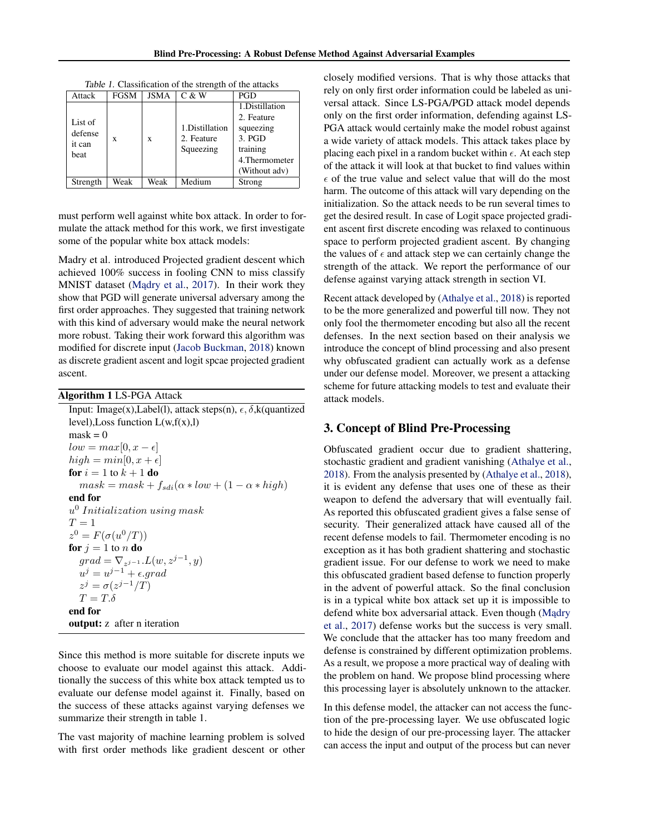| Attack      | <b>FGSM</b> | JSMA | C & W          | PGD            |
|-------------|-------------|------|----------------|----------------|
|             |             |      |                | 1.Distillation |
| List of     |             |      |                | 2. Feature     |
| defense     |             |      | 1.Distillation | squeezing      |
| it can      | X           | X    | 2. Feature     | 3. PGD         |
| <b>beat</b> |             |      | Squeezing      | training       |
|             |             |      |                | 4. Thermometer |
|             |             |      |                | (Without adv)  |
| Strength    | Weak        | Weak | Medium         | Strong         |

Table 1. Classification of the strength of the attacks

must perform well against white box attack. In order to formulate the attack method for this work, we first investigate some of the popular white box attack models:

Madry et al. introduced Projected gradient descent which achieved 100% success in fooling CNN to miss classify MNIST dataset (Madry et al., [2017\)](#page-9-0). In their work they show that PGD will generate universal adversary among the first order approaches. They suggested that training network with this kind of adversary would make the neural network more robust. Taking their work forward this algorithm was modified for discrete input [\(Jacob Buckman,](#page-9-0) [2018\)](#page-9-0) known as discrete gradient ascent and logit spcae projected gradient ascent.

Algorithm 1 LS-PGA Attack

Input: Image(x),Label(l), attack steps(n),  $\epsilon$ ,  $\delta$ , k(quantized level), Loss function  $L(w, f(x),l)$  $mask = 0$  $low = max[0, x - \epsilon]$  $high = min[0, x + \epsilon]$ for  $i = 1$  to  $k + 1$  do  $mask = mask + f_{sdi}(\alpha * low + (1 - \alpha * high)$ end for  $u^0$  Initialization using mask  $T = 1$  $z^0 = F(\sigma(u^0/T))$ for  $j = 1$  to n do  $grad = \nabla_{z^{j-1}}.L(w,z^{j-1},y)$  $u^j = u^{j-1} + \epsilon$ .grad  $z^j = \sigma(z^{j-1}/T)$  $T = T.\delta$ end for output: z after n iteration

Since this method is more suitable for discrete inputs we choose to evaluate our model against this attack. Additionally the success of this white box attack tempted us to evaluate our defense model against it. Finally, based on the success of these attacks against varying defenses we summarize their strength in table 1.

The vast majority of machine learning problem is solved with first order methods like gradient descent or other

closely modified versions. That is why those attacks that rely on only first order information could be labeled as universal attack. Since LS-PGA/PGD attack model depends only on the first order information, defending against LS-PGA attack would certainly make the model robust against a wide variety of attack models. This attack takes place by placing each pixel in a random bucket within  $\epsilon$ . At each step of the attack it will look at that bucket to find values within  $\epsilon$  of the true value and select value that will do the most harm. The outcome of this attack will vary depending on the initialization. So the attack needs to be run several times to get the desired result. In case of Logit space projected gradient ascent first discrete encoding was relaxed to continuous space to perform projected gradient ascent. By changing the values of  $\epsilon$  and attack step we can certainly change the strength of the attack. We report the performance of our defense against varying attack strength in section VI.

Recent attack developed by [\(Athalye et al.,](#page-8-0) [2018\)](#page-8-0) is reported to be the more generalized and powerful till now. They not only fool the thermometer encoding but also all the recent defenses. In the next section based on their analysis we introduce the concept of blind processing and also present why obfuscated gradient can actually work as a defense under our defense model. Moreover, we present a attacking scheme for future attacking models to test and evaluate their attack models.

# 3. Concept of Blind Pre-Processing

Obfuscated gradient occur due to gradient shattering, stochastic gradient and gradient vanishing [\(Athalye et al.,](#page-8-0) [2018\)](#page-8-0). From the analysis presented by [\(Athalye et al.,](#page-8-0) [2018\)](#page-8-0), it is evident any defense that uses one of these as their weapon to defend the adversary that will eventually fail. As reported this obfuscated gradient gives a false sense of security. Their generalized attack have caused all of the recent defense models to fail. Thermometer encoding is no exception as it has both gradient shattering and stochastic gradient issue. For our defense to work we need to make this obfuscated gradient based defense to function properly in the advent of powerful attack. So the final conclusion is in a typical white box attack set up it is impossible to defend white box adversarial attack. Even though (Madry [et al.,](#page-9-0) [2017\)](#page-9-0) defense works but the success is very small. We conclude that the attacker has too many freedom and defense is constrained by different optimization problems. As a result, we propose a more practical way of dealing with the problem on hand. We propose blind processing where this processing layer is absolutely unknown to the attacker.

In this defense model, the attacker can not access the function of the pre-processing layer. We use obfuscated logic to hide the design of our pre-processing layer. The attacker can access the input and output of the process but can never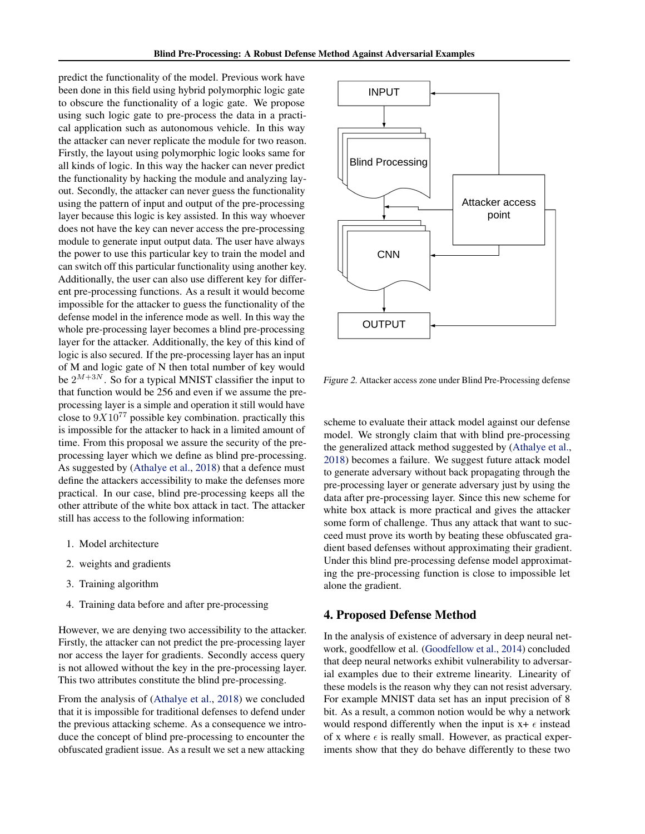predict the functionality of the model. Previous work have been done in this field using hybrid polymorphic logic gate to obscure the functionality of a logic gate. We propose using such logic gate to pre-process the data in a practical application such as autonomous vehicle. In this way the attacker can never replicate the module for two reason. Firstly, the layout using polymorphic logic looks same for all kinds of logic. In this way the hacker can never predict the functionality by hacking the module and analyzing layout. Secondly, the attacker can never guess the functionality using the pattern of input and output of the pre-processing layer because this logic is key assisted. In this way whoever does not have the key can never access the pre-processing module to generate input output data. The user have always the power to use this particular key to train the model and can switch off this particular functionality using another key. Additionally, the user can also use different key for different pre-processing functions. As a result it would become impossible for the attacker to guess the functionality of the defense model in the inference mode as well. In this way the whole pre-processing layer becomes a blind pre-processing layer for the attacker. Additionally, the key of this kind of logic is also secured. If the pre-processing layer has an input of M and logic gate of N then total number of key would be  $2^{M+3N}$ . So for a typical MNIST classifier the input to that function would be 256 and even if we assume the preprocessing layer is a simple and operation it still would have close to  $9X10^{77}$  possible key combination. practically this is impossible for the attacker to hack in a limited amount of time. From this proposal we assure the security of the preprocessing layer which we define as blind pre-processing. As suggested by [\(Athalye et al.,](#page-8-0) [2018\)](#page-8-0) that a defence must define the attackers accessibility to make the defenses more practical. In our case, blind pre-processing keeps all the other attribute of the white box attack in tact. The attacker still has access to the following information:

- 1. Model architecture
- 2. weights and gradients
- 3. Training algorithm
- 4. Training data before and after pre-processing

However, we are denying two accessibility to the attacker. Firstly, the attacker can not predict the pre-processing layer nor access the layer for gradients. Secondly access query is not allowed without the key in the pre-processing layer. This two attributes constitute the blind pre-processing.

From the analysis of [\(Athalye et al.,](#page-8-0) [2018\)](#page-8-0) we concluded that it is impossible for traditional defenses to defend under the previous attacking scheme. As a consequence we introduce the concept of blind pre-processing to encounter the obfuscated gradient issue. As a result we set a new attacking



Figure 2. Attacker access zone under Blind Pre-Processing defense

scheme to evaluate their attack model against our defense model. We strongly claim that with blind pre-processing the generalized attack method suggested by [\(Athalye et al.,](#page-8-0) [2018\)](#page-8-0) becomes a failure. We suggest future attack model to generate adversary without back propagating through the pre-processing layer or generate adversary just by using the data after pre-processing layer. Since this new scheme for white box attack is more practical and gives the attacker some form of challenge. Thus any attack that want to succeed must prove its worth by beating these obfuscated gradient based defenses without approximating their gradient. Under this blind pre-processing defense model approximating the pre-processing function is close to impossible let alone the gradient.

# 4. Proposed Defense Method

In the analysis of existence of adversary in deep neural network, goodfellow et al. [\(Goodfellow et al.,](#page-8-0) [2014\)](#page-8-0) concluded that deep neural networks exhibit vulnerability to adversarial examples due to their extreme linearity. Linearity of these models is the reason why they can not resist adversary. For example MNIST data set has an input precision of 8 bit. As a result, a common notion would be why a network would respond differently when the input is  $x + \epsilon$  instead of x where  $\epsilon$  is really small. However, as practical experiments show that they do behave differently to these two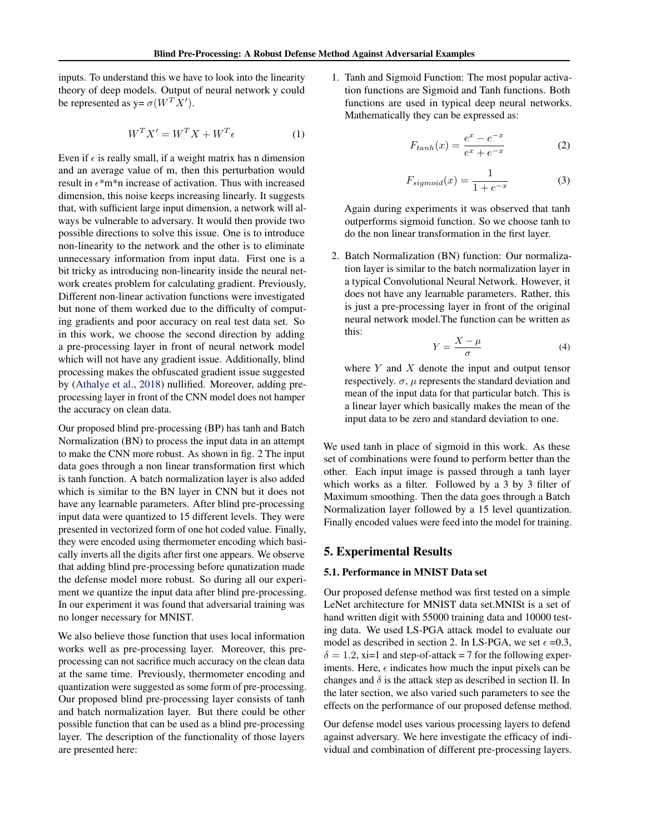inputs. To understand this we have to look into the linearity theory of deep models. Output of neural network y could be represented as  $y = \sigma(W^T X')$ .

$$
W^T X' = W^T X + W^T \epsilon \tag{1}
$$

Even if  $\epsilon$  is really small, if a weight matrix has n dimension and an average value of m, then this perturbation would result in  $\epsilon^*$ m\*n increase of activation. Thus with increased dimension, this noise keeps increasing linearly. It suggests that, with sufficient large input dimension, a network will always be vulnerable to adversary. It would then provide two possible directions to solve this issue. One is to introduce non-linearity to the network and the other is to eliminate unnecessary information from input data. First one is a bit tricky as introducing non-linearity inside the neural network creates problem for calculating gradient. Previously, Different non-linear activation functions were investigated but none of them worked due to the difficulty of computing gradients and poor accuracy on real test data set. So in this work, we choose the second direction by adding a pre-processing layer in front of neural network model which will not have any gradient issue. Additionally, blind processing makes the obfuscated gradient issue suggested by [\(Athalye et al.,](#page-8-0) [2018\)](#page-8-0) nullified. Moreover, adding preprocessing layer in front of the CNN model does not hamper the accuracy on clean data.

Our proposed blind pre-processing (BP) has tanh and Batch Normalization (BN) to process the input data in an attempt to make the CNN more robust. As shown in fig. 2 The input data goes through a non linear transformation first which is tanh function. A batch normalization layer is also added which is similar to the BN layer in CNN but it does not have any learnable parameters. After blind pre-processing input data were quantized to 15 different levels. They were presented in vectorized form of one hot coded value. Finally, they were encoded using thermometer encoding which basically inverts all the digits after first one appears. We observe that adding blind pre-processing before qunatization made the defense model more robust. So during all our experiment we quantize the input data after blind pre-processing. In our experiment it was found that adversarial training was no longer necessary for MNIST.

We also believe those function that uses local information works well as pre-processing layer. Moreover, this preprocessing can not sacrifice much accuracy on the clean data at the same time. Previously, thermometer encoding and quantization were suggested as some form of pre-processing. Our proposed blind pre-processing layer consists of tanh and batch normalization layer. But there could be other possible function that can be used as a blind pre-processing layer. The description of the functionality of those layers are presented here:

1. Tanh and Sigmoid Function: The most popular activation functions are Sigmoid and Tanh functions. Both functions are used in typical deep neural networks. Mathematically they can be expressed as:

$$
F_{tanh}(x) = \frac{e^x - e^{-x}}{e^x + e^{-x}}
$$
 (2)

$$
F_{sigmoid}(x) = \frac{1}{1 + e^{-x}}\tag{3}
$$

Again during experiments it was observed that tanh outperforms sigmoid function. So we choose tanh to do the non linear transformation in the first layer.

2. Batch Normalization (BN) function: Our normalization layer is similar to the batch normalization layer in a typical Convolutional Neural Network. However, it does not have any learnable parameters. Rather, this is just a pre-processing layer in front of the original neural network model.The function can be written as this:

$$
Y = \frac{X - \mu}{\sigma} \tag{4}
$$

where  $Y$  and  $X$  denote the input and output tensor respectively.  $\sigma$ ,  $\mu$  represents the standard deviation and mean of the input data for that particular batch. This is a linear layer which basically makes the mean of the input data to be zero and standard deviation to one.

We used tanh in place of sigmoid in this work. As these set of combinations were found to perform better than the other. Each input image is passed through a tanh layer which works as a filter. Followed by a 3 by 3 filter of Maximum smoothing. Then the data goes through a Batch Normalization layer followed by a 15 level quantization. Finally encoded values were feed into the model for training.

## 5. Experimental Results

### 5.1. Performance in MNIST Data set

Our proposed defense method was first tested on a simple LeNet architecture for MNIST data set.MNISt is a set of hand written digit with 55000 training data and 10000 testing data. We used LS-PGA attack model to evaluate our model as described in section 2. In LS-PGA, we set  $\epsilon = 0.3$ ,  $\delta = 1.2$ , xi=1 and step-of-attack = 7 for the following experiments. Here,  $\epsilon$  indicates how much the input pixels can be changes and  $\delta$  is the attack step as described in section II. In the later section, we also varied such parameters to see the effects on the performance of our proposed defense method.

Our defense model uses various processing layers to defend against adversary. We here investigate the efficacy of individual and combination of different pre-processing layers.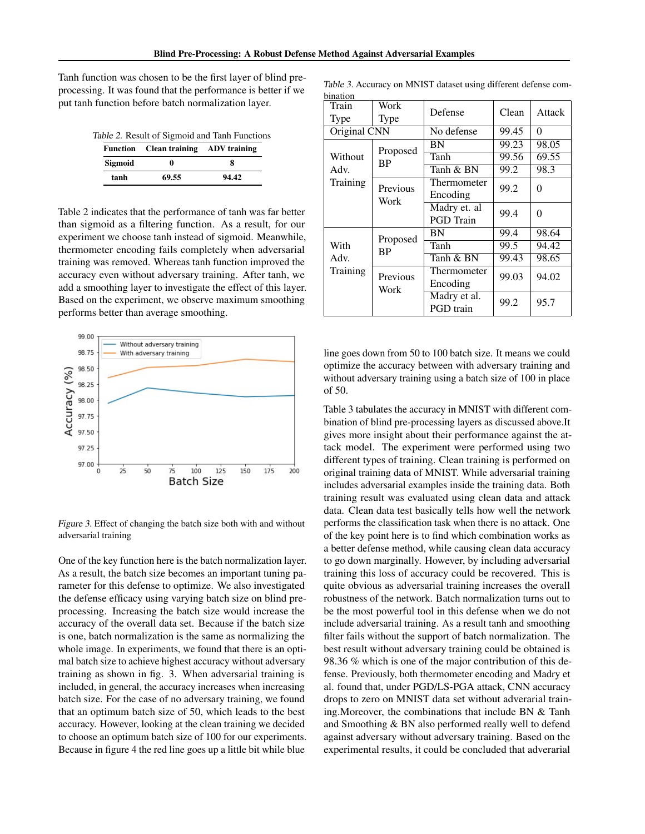Tanh function was chosen to be the first layer of blind preprocessing. It was found that the performance is better if we put tanh function before batch normalization layer.

Table 2. Result of Sigmoid and Tanh Functions

|         | Function Clean training ADV training |       |  |
|---------|--------------------------------------|-------|--|
| Sigmoid | 0                                    | 8     |  |
| tanh    | 69.55                                | 94.42 |  |

Table 2 indicates that the performance of tanh was far better than sigmoid as a filtering function. As a result, for our experiment we choose tanh instead of sigmoid. Meanwhile, thermometer encoding fails completely when adversarial training was removed. Whereas tanh function improved the accuracy even without adversary training. After tanh, we add a smoothing layer to investigate the effect of this layer. Based on the experiment, we observe maximum smoothing performs better than average smoothing.



Figure 3. Effect of changing the batch size both with and without adversarial training

One of the key function here is the batch normalization layer. As a result, the batch size becomes an important tuning parameter for this defense to optimize. We also investigated the defense efficacy using varying batch size on blind preprocessing. Increasing the batch size would increase the accuracy of the overall data set. Because if the batch size is one, batch normalization is the same as normalizing the whole image. In experiments, we found that there is an optimal batch size to achieve highest accuracy without adversary training as shown in fig. 3. When adversarial training is included, in general, the accuracy increases when increasing batch size. For the case of no adversary training, we found that an optimum batch size of 50, which leads to the best accuracy. However, looking at the clean training we decided to choose an optimum batch size of 100 for our experiments. Because in figure 4 the red line goes up a little bit while blue

| Train<br><b>Type</b> | Work<br>Type          | Defense                          | Clean | Attack |
|----------------------|-----------------------|----------------------------------|-------|--------|
| Original CNN         |                       | No defense                       | 99.45 | 0      |
|                      | Proposed              | BN                               | 99.23 | 98.05  |
| Without              | <b>BP</b>             | Tanh                             | 99.56 | 69.55  |
| Adv.                 |                       | Tanh & BN                        | 99.2  | 98.3   |
| Training             | Previous<br>Work      | Thermometer<br>Encoding          | 99.2  | 0      |
|                      |                       | Madry et. al<br><b>PGD</b> Train | 99.4  | 0      |
|                      |                       | BN                               | 99.4  | 98.64  |
| With                 | Proposed<br><b>BP</b> | Tanh                             | 99.5  | 94.42  |
| Adv.                 |                       | Tanh & BN                        | 99.43 | 98.65  |
| Training             | Previous<br>Work      | Thermometer<br>Encoding          | 99.03 | 94.02  |
|                      |                       | Madry et al.<br><b>PGD</b> train | 99.2  | 95.7   |

Table 3. Accuracy on MNIST dataset using different defense combination

line goes down from 50 to 100 batch size. It means we could optimize the accuracy between with adversary training and without adversary training using a batch size of 100 in place of 50.

Table 3 tabulates the accuracy in MNIST with different combination of blind pre-processing layers as discussed above.It gives more insight about their performance against the attack model. The experiment were performed using two different types of training. Clean training is performed on original training data of MNIST. While adversarial training includes adversarial examples inside the training data. Both training result was evaluated using clean data and attack data. Clean data test basically tells how well the network performs the classification task when there is no attack. One of the key point here is to find which combination works as a better defense method, while causing clean data accuracy to go down marginally. However, by including adversarial training this loss of accuracy could be recovered. This is quite obvious as adversarial training increases the overall robustness of the network. Batch normalization turns out to be the most powerful tool in this defense when we do not include adversarial training. As a result tanh and smoothing filter fails without the support of batch normalization. The best result without adversary training could be obtained is 98.36 % which is one of the major contribution of this defense. Previously, both thermometer encoding and Madry et al. found that, under PGD/LS-PGA attack, CNN accuracy drops to zero on MNIST data set without adverarial training.Moreover, the combinations that include BN & Tanh and Smoothing & BN also performed really well to defend against adversary without adversary training. Based on the experimental results, it could be concluded that adverarial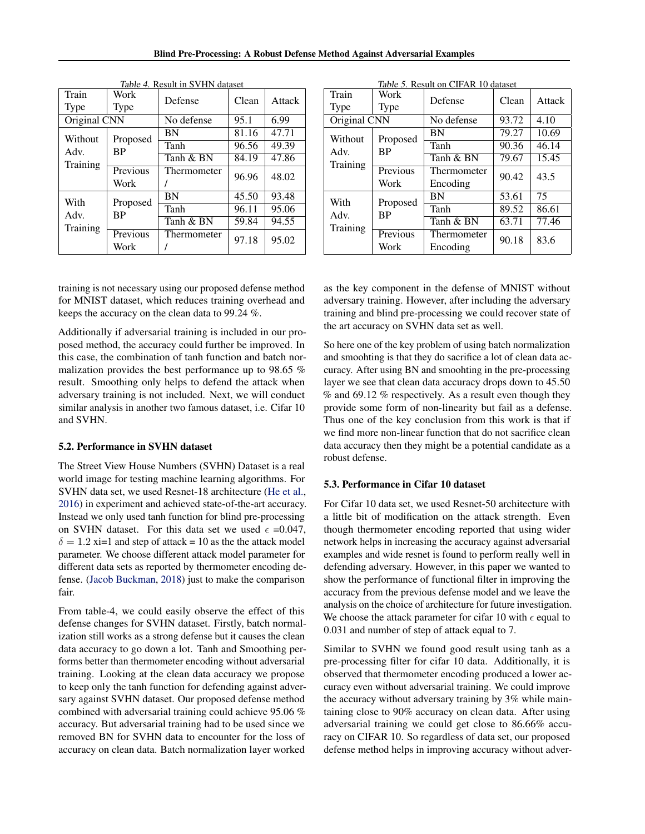Blind Pre-Processing: A Robust Defense Method Against Adversarial Examples

| Table 4. Result in SVHN dataset |           |                      |       |        |  |
|---------------------------------|-----------|----------------------|-------|--------|--|
| Train                           | Work      | Defense              | Clean | Attack |  |
| <b>Type</b>                     | Type      |                      |       |        |  |
| Original CNN                    |           | No defense           | 95.1  | 6.99   |  |
| Without                         | Proposed  | BN                   | 81.16 | 47.71  |  |
| Adv.                            | <b>BP</b> | Tanh                 | 96.56 | 49.39  |  |
| Training                        |           | Tanh & BN            | 84.19 | 47.86  |  |
|                                 | Previous  | Thermometer<br>96.96 |       | 48.02  |  |
|                                 | Work      |                      |       |        |  |
| With                            | Proposed  | BN                   | 45.50 | 93.48  |  |
| Adv.                            | <b>BP</b> | Tanh                 | 96.11 | 95.06  |  |
|                                 |           | Tanh & BN            | 59.84 | 94.55  |  |
| Training                        | Previous  | Thermometer          | 97.18 | 95.02  |  |
|                                 | Work      |                      |       |        |  |

| dataset |  |  |
|---------|--|--|
|         |  |  |

training is not necessary using our proposed defense method for MNIST dataset, which reduces training overhead and keeps the accuracy on the clean data to 99.24 %.

Additionally if adversarial training is included in our proposed method, the accuracy could further be improved. In this case, the combination of tanh function and batch normalization provides the best performance up to 98.65 % result. Smoothing only helps to defend the attack when adversary training is not included. Next, we will conduct similar analysis in another two famous dataset, i.e. Cifar 10 and SVHN.

#### 5.2. Performance in SVHN dataset

The Street View House Numbers (SVHN) Dataset is a real world image for testing machine learning algorithms. For SVHN data set, we used Resnet-18 architecture [\(He et al.,](#page-9-0) [2016\)](#page-9-0) in experiment and achieved state-of-the-art accuracy. Instead we only used tanh function for blind pre-processing on SVHN dataset. For this data set we used  $\epsilon = 0.047$ ,  $\delta = 1.2$  xi=1 and step of attack = 10 as the the attack model parameter. We choose different attack model parameter for different data sets as reported by thermometer encoding defense. [\(Jacob Buckman,](#page-9-0) [2018\)](#page-9-0) just to make the comparison fair.

From table-4, we could easily observe the effect of this defense changes for SVHN dataset. Firstly, batch normalization still works as a strong defense but it causes the clean data accuracy to go down a lot. Tanh and Smoothing performs better than thermometer encoding without adversarial training. Looking at the clean data accuracy we propose to keep only the tanh function for defending against adversary against SVHN dataset. Our proposed defense method combined with adversarial training could achieve 95.06 % accuracy. But adversarial training had to be used since we removed BN for SVHN data to encounter for the loss of accuracy on clean data. Batch normalization layer worked

| Table 5. Result on CIFAR 10 dataset |                |             |       |        |  |
|-------------------------------------|----------------|-------------|-------|--------|--|
| Train                               | Work           | Defense     | Clean | Attack |  |
| Type                                | Type           |             |       |        |  |
| Original CNN                        |                | No defense  | 93.72 | 4.10   |  |
| Without                             |                | BN          | 79.27 | 10.69  |  |
| Adv.                                | Proposed<br>ВP | Tanh        | 90.36 | 46.14  |  |
|                                     |                | Tanh & BN   | 79.67 | 15.45  |  |
| Training                            | Previous       | Thermometer | 90.42 | 43.5   |  |
|                                     | Work           | Encoding    |       |        |  |
| With                                | Proposed       | BN          | 53.61 | 75     |  |
| Adv.<br>Training                    | <b>BP</b>      | Tanh        | 89.52 | 86.61  |  |
|                                     |                | Tanh & BN   | 63.71 | 77.46  |  |
|                                     | Previous       | Thermometer | 90.18 | 83.6   |  |
|                                     | Work           | Encoding    |       |        |  |

as the key component in the defense of MNIST without adversary training. However, after including the adversary training and blind pre-processing we could recover state of the art accuracy on SVHN data set as well.

So here one of the key problem of using batch normalization and smoohting is that they do sacrifice a lot of clean data accuracy. After using BN and smoohting in the pre-processing layer we see that clean data accuracy drops down to 45.50 % and 69.12 % respectively. As a result even though they provide some form of non-linearity but fail as a defense. Thus one of the key conclusion from this work is that if we find more non-linear function that do not sacrifice clean data accuracy then they might be a potential candidate as a robust defense.

#### 5.3. Performance in Cifar 10 dataset

For Cifar 10 data set, we used Resnet-50 architecture with a little bit of modification on the attack strength. Even though thermometer encoding reported that using wider network helps in increasing the accuracy against adversarial examples and wide resnet is found to perform really well in defending adversary. However, in this paper we wanted to show the performance of functional filter in improving the accuracy from the previous defense model and we leave the analysis on the choice of architecture for future investigation. We choose the attack parameter for cifar 10 with  $\epsilon$  equal to 0.031 and number of step of attack equal to 7.

Similar to SVHN we found good result using tanh as a pre-processing filter for cifar 10 data. Additionally, it is observed that thermometer encoding produced a lower accuracy even without adversarial training. We could improve the accuracy without adversary training by 3% while maintaining close to 90% accuracy on clean data. After using adversarial training we could get close to 86.66% accuracy on CIFAR 10. So regardless of data set, our proposed defense method helps in improving accuracy without adver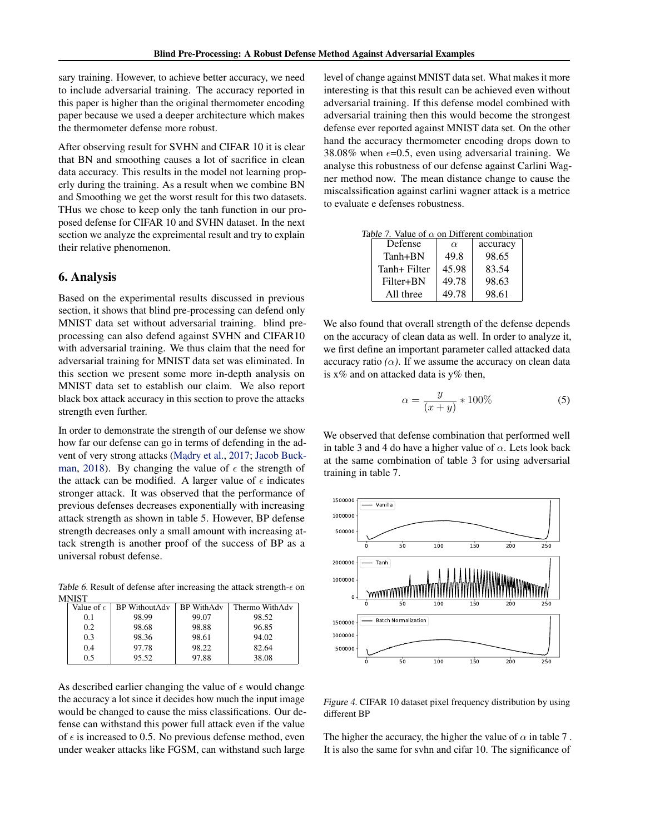sary training. However, to achieve better accuracy, we need to include adversarial training. The accuracy reported in this paper is higher than the original thermometer encoding paper because we used a deeper architecture which makes the thermometer defense more robust.

After observing result for SVHN and CIFAR 10 it is clear that BN and smoothing causes a lot of sacrifice in clean data accuracy. This results in the model not learning properly during the training. As a result when we combine BN and Smoothing we get the worst result for this two datasets. THus we chose to keep only the tanh function in our proposed defense for CIFAR 10 and SVHN dataset. In the next section we analyze the expreimental result and try to explain their relative phenomenon.

# 6. Analysis

Based on the experimental results discussed in previous section, it shows that blind pre-processing can defend only MNIST data set without adversarial training. blind preprocessing can also defend against SVHN and CIFAR10 with adversarial training. We thus claim that the need for adversarial training for MNIST data set was eliminated. In this section we present some more in-depth analysis on MNIST data set to establish our claim. We also report black box attack accuracy in this section to prove the attacks strength even further.

In order to demonstrate the strength of our defense we show how far our defense can go in terms of defending in the ad-vent of very strong attacks (Madry et al., [2017;](#page-9-0) [Jacob Buck](#page-9-0)[man,](#page-9-0) [2018\)](#page-9-0). By changing the value of  $\epsilon$  the strength of the attack can be modified. A larger value of  $\epsilon$  indicates stronger attack. It was observed that the performance of previous defenses decreases exponentially with increasing attack strength as shown in table 5. However, BP defense strength decreases only a small amount with increasing attack strength is another proof of the success of BP as a universal robust defense.

Table 6. Result of defense after increasing the attack strength- $\epsilon$  on MNIST

| Value of $\epsilon$ | <b>BP</b> WithoutAdv | <b>BP</b> WithAdv | Thermo WithAdv |
|---------------------|----------------------|-------------------|----------------|
| 0.1                 | 98.99                | 99.07             | 98.52          |
| 0.2                 | 98.68                | 98.88             | 96.85          |
| 0.3                 | 98.36                | 98.61             | 94.02          |
| 0.4                 | 97.78                | 98.22             | 82.64          |
| 0.5                 | 95.52                | 97.88             | 38.08          |
|                     |                      |                   |                |

As described earlier changing the value of  $\epsilon$  would change the accuracy a lot since it decides how much the input image would be changed to cause the miss classifications. Our defense can withstand this power full attack even if the value of  $\epsilon$  is increased to 0.5. No previous defense method, even under weaker attacks like FGSM, can withstand such large

level of change against MNIST data set. What makes it more interesting is that this result can be achieved even without adversarial training. If this defense model combined with adversarial training then this would become the strongest defense ever reported against MNIST data set. On the other hand the accuracy thermometer encoding drops down to 38.08% when  $\epsilon$ =0.5, even using adversarial training. We analyse this robustness of our defense against Carlini Wagner method now. The mean distance change to cause the miscalssification against carlini wagner attack is a metrice to evaluate e defenses robustness.

Table 7. Value of  $\alpha$  on Different combination

| Defense      | $\alpha$ | accuracy |
|--------------|----------|----------|
| $Tanh + BN$  | 49.8     | 98.65    |
| Tanh+ Filter | 45.98    | 83.54    |
| Filter+BN    | 49.78    | 98.63    |
| All three    | 49.78    | 98.61    |

We also found that overall strength of the defense depends on the accuracy of clean data as well. In order to analyze it, we first define an important parameter called attacked data accuracy ratio  $(\alpha)$ . If we assume the accuracy on clean data is  $x\%$  and on attacked data is  $y\%$  then,

$$
\alpha = \frac{y}{(x+y)} * 100\% \tag{5}
$$

We observed that defense combination that performed well in table 3 and 4 do have a higher value of  $\alpha$ . Lets look back at the same combination of table 3 for using adversarial training in table 7.



Figure 4. CIFAR 10 dataset pixel frequency distribution by using different BP

The higher the accuracy, the higher the value of  $\alpha$  in table 7. It is also the same for svhn and cifar 10. The significance of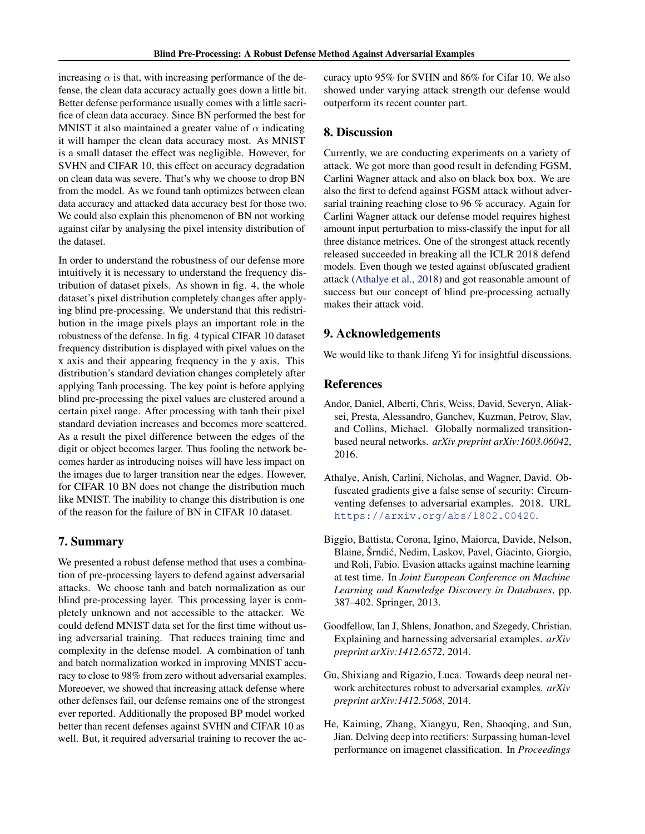<span id="page-8-0"></span>increasing  $\alpha$  is that, with increasing performance of the defense, the clean data accuracy actually goes down a little bit. Better defense performance usually comes with a little sacrifice of clean data accuracy. Since BN performed the best for MNIST it also maintained a greater value of  $\alpha$  indicating it will hamper the clean data accuracy most. As MNIST is a small dataset the effect was negligible. However, for SVHN and CIFAR 10, this effect on accuracy degradation on clean data was severe. That's why we choose to drop BN from the model. As we found tanh optimizes between clean data accuracy and attacked data accuracy best for those two. We could also explain this phenomenon of BN not working against cifar by analysing the pixel intensity distribution of the dataset.

In order to understand the robustness of our defense more intuitively it is necessary to understand the frequency distribution of dataset pixels. As shown in fig. 4, the whole dataset's pixel distribution completely changes after applying blind pre-processing. We understand that this redistribution in the image pixels plays an important role in the robustness of the defense. In fig. 4 typical CIFAR 10 dataset frequency distribution is displayed with pixel values on the x axis and their appearing frequency in the y axis. This distribution's standard deviation changes completely after applying Tanh processing. The key point is before applying blind pre-processing the pixel values are clustered around a certain pixel range. After processing with tanh their pixel standard deviation increases and becomes more scattered. As a result the pixel difference between the edges of the digit or object becomes larger. Thus fooling the network becomes harder as introducing noises will have less impact on the images due to larger transition near the edges. However, for CIFAR 10 BN does not change the distribution much like MNIST. The inability to change this distribution is one of the reason for the failure of BN in CIFAR 10 dataset.

## 7. Summary

We presented a robust defense method that uses a combination of pre-processing layers to defend against adversarial attacks. We choose tanh and batch normalization as our blind pre-processing layer. This processing layer is completely unknown and not accessible to the attacker. We could defend MNIST data set for the first time without using adversarial training. That reduces training time and complexity in the defense model. A combination of tanh and batch normalization worked in improving MNIST accuracy to close to 98% from zero without adversarial examples. Moreoever, we showed that increasing attack defense where other defenses fail, our defense remains one of the strongest ever reported. Additionally the proposed BP model worked better than recent defenses against SVHN and CIFAR 10 as well. But, it required adversarial training to recover the accuracy upto 95% for SVHN and 86% for Cifar 10. We also showed under varying attack strength our defense would outperform its recent counter part.

# 8. Discussion

Currently, we are conducting experiments on a variety of attack. We got more than good result in defending FGSM, Carlini Wagner attack and also on black box box. We are also the first to defend against FGSM attack without adversarial training reaching close to 96 % accuracy. Again for Carlini Wagner attack our defense model requires highest amount input perturbation to miss-classify the input for all three distance metrices. One of the strongest attack recently released succeeded in breaking all the ICLR 2018 defend models. Even though we tested against obfuscated gradient attack (Athalye et al., 2018) and got reasonable amount of success but our concept of blind pre-processing actually makes their attack void.

## 9. Acknowledgements

We would like to thank Jifeng Yi for insightful discussions.

## References

- Andor, Daniel, Alberti, Chris, Weiss, David, Severyn, Aliaksei, Presta, Alessandro, Ganchev, Kuzman, Petrov, Slav, and Collins, Michael. Globally normalized transitionbased neural networks. *arXiv preprint arXiv:1603.06042*, 2016.
- Athalye, Anish, Carlini, Nicholas, and Wagner, David. Obfuscated gradients give a false sense of security: Circumventing defenses to adversarial examples. 2018. URL <https://arxiv.org/abs/1802.00420>.
- Biggio, Battista, Corona, Igino, Maiorca, Davide, Nelson, Blaine, Šrndic, Nedim, Laskov, Pavel, Giacinto, Giorgio, ´ and Roli, Fabio. Evasion attacks against machine learning at test time. In *Joint European Conference on Machine Learning and Knowledge Discovery in Databases*, pp. 387–402. Springer, 2013.
- Goodfellow, Ian J, Shlens, Jonathon, and Szegedy, Christian. Explaining and harnessing adversarial examples. *arXiv preprint arXiv:1412.6572*, 2014.
- Gu, Shixiang and Rigazio, Luca. Towards deep neural network architectures robust to adversarial examples. *arXiv preprint arXiv:1412.5068*, 2014.
- He, Kaiming, Zhang, Xiangyu, Ren, Shaoqing, and Sun, Jian. Delving deep into rectifiers: Surpassing human-level performance on imagenet classification. In *Proceedings*